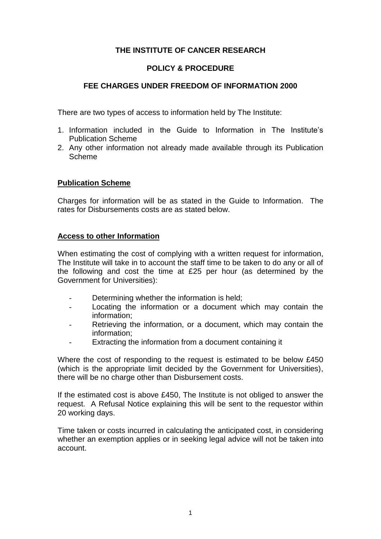# **THE INSTITUTE OF CANCER RESEARCH**

# **POLICY & PROCEDURE**

# **FEE CHARGES UNDER FREEDOM OF INFORMATION 2000**

There are two types of access to information held by The Institute:

- 1. Information included in the Guide to Information in The Institute's Publication Scheme
- 2. Any other information not already made available through its Publication Scheme

## **Publication Scheme**

Charges for information will be as stated in the Guide to Information. The rates for Disbursements costs are as stated below.

#### **Access to other Information**

When estimating the cost of complying with a written request for information, The Institute will take in to account the staff time to be taken to do any or all of the following and cost the time at £25 per hour (as determined by the Government for Universities):

- Determining whether the information is held:
- Locating the information or a document which may contain the information;
- Retrieving the information, or a document, which may contain the information;
- Extracting the information from a document containing it

Where the cost of responding to the request is estimated to be below £450 (which is the appropriate limit decided by the Government for Universities), there will be no charge other than Disbursement costs.

If the estimated cost is above £450, The Institute is not obliged to answer the request. A Refusal Notice explaining this will be sent to the requestor within 20 working days.

Time taken or costs incurred in calculating the anticipated cost, in considering whether an exemption applies or in seeking legal advice will not be taken into account.